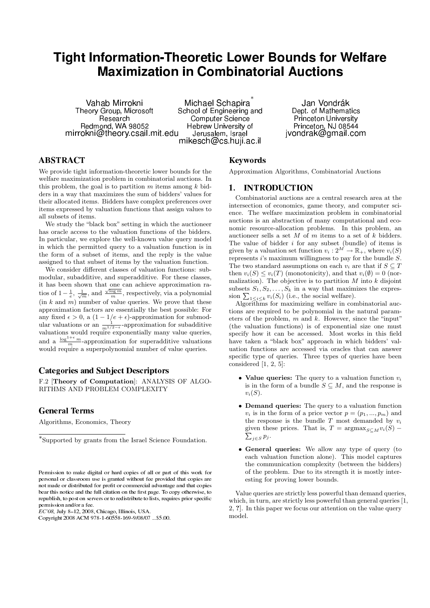# Tight Information-Theoretic Lower Bounds for Welfare Maximization in Combinatorial Auctions

Vahab Mirrokni Theory Group, Microsoft Research Redmond, WA 98052 mirrokni@theory.csail.mit.edu

Michael Schapira<sup>\*</sup> School of Engineering and Computer Science Hebrew University of Jerusalem, Israel mikesch@cs.huji.ac.il

Jan Vondrák Dept. of Mathematics Princeton University Princeton, NJ 08544 jvondrak@gmail.com

# **ABSTRACT**

We provide tight information-theoretic lower bounds for the welfare maximization problem in combinatorial auctions. In this problem, the goal is to partition  $m$  items among  $k$  bidders in a way that maximizes the sum of bidders' values for their allocated items. Bidders have complex preferences over items expressed by valuation functions that assign values to all subsets of items.

We study the "black box" setting in which the auctioneer has oracle access to the valuation functions of the bidders. In particular, we explore the well-known value query model in which the permitted query to a valuation function is in the form of a subset of items, and the reply is the value assigned to that subset of items by the valuation function.

We consider different classes of valuation functions: submodular, subadditive, and superadditive. For these classes, it has been shown that one can achieve approximation ration as been shown that one can achieve approximation ratios of  $1-\frac{1}{e}$ ,  $\frac{1}{\sqrt{m}}$ , and  $\frac{\sqrt{\log m}}{m}$ , respectively, via a polynomial  $(in k and m)$  number of value queries. We prove that these approximation factors are essentially the best possible: For any fixed  $\epsilon > 0$ , a  $(1 - 1/e + \epsilon)$ -approximation for submodular valuations or an  $\frac{1}{m^{1/2-\epsilon}}$ -approximation for subadditive valuations would require exponentially many value queries, and a  $\frac{\log^{1+\epsilon} m}{m}$ -approximation for superadditive valuations would require a superpolynomial number of value queries.

## Categories and Subject Descriptors

F.2 [Theory of Computation]: ANALYSIS OF ALGO-RITHMS AND PROBLEM COMPLEXITY

## General Terms

Algorithms, Economics, Theory

 $EC'08$ , July 8-12, 2008, Chicago, Illinois, USA.

## Keywords

Approximation Algorithms, Combinatorial Auctions

## 1. INTRODUCTION

Combinatorial auctions are a central research area at the intersection of economics, game theory, and computer science. The welfare maximization problem in combinatorial auctions is an abstraction of many computational and economic resource-allocation problems. In this problem, an auctioneer sells a set  $M$  of  $m$  items to a set of  $k$  bidders. The value of bidder  $i$  for any subset (bundle) of items is given by a valuation set function  $v_i : 2^M \to \mathbb{R}_+$ , where  $v_i(S)$ represents  $i$ 's maximum willingness to pay for the bundle  $S$ . The two standard assumptions on each  $v_i$  are that if  $S \subseteq T$ then  $v_i(S) \le v_i(T)$  (monotonicity), and that  $v_i(\emptyset) = 0$  (normalization). The objective is to partition  $M$  into  $k$  disjoint subsets  $S_1, S_2, \ldots, S_k$  in a way that maximizes the expression  $\sum_{1 \leq i \leq k} v_i(S_i)$  (i.e., the social welfare).

Algorithms for maximizing welfare in combinatorial auctions are required to be polynomial in the natural parameters of the problem,  $m$  and  $k$ . However, since the "input" (the valuation functions) is of exponential size one must specify how it can be accessed. Most works in this field have taken a "black box" approach in which bidders' valuation functions are accessed via oracles that can answer specific type of queries. Three types of queries have been considered [1, 2, 5]:

- Value queries: The query to a valuation function  $v_i$ is in the form of a bundle  $S \subseteq M$ , and the response is  $v_i(S)$ .
- Demand queries: The query to a valuation function  $v_i$  is in the form of a price vector  $p = (p_1, ..., p_m)$  and the response is the bundle  $T$  most demanded by  $v_i$ given these prices. That is,  $T = \operatorname{argmax}_{S \subseteq M} v_i(S)$  –  $\sum_{j\in S} p_j$ .
- General queries: We allow any type of query (to each valuation function alone). This model captures the communication complexity (between the bidders) of the problem. Due to its strength it is mostly interesting for proving lower bounds.

Value queries are strictly less powerful than demand queries, which, in turn, are strictly less powerful than general queries [1, 2, ?]. In this paper we focus our attention on the value query model.

<sup>∗</sup> Supported by grants from the Israel Science Foundation.

Permission to make digital or hard copies of all or part of this work for personal or classroom use is granted without fee provided that copies are not made or distributed for profit or commercial advantage and that copies bear this notice and the full citation on the first page. To copy otherwise, to republish, to post on servers or to redistribute to lists, requires prior specific permission and/or a fee.

Copyright 2008 ACM 978-1-60558-169-9/08/07 ...\$5.00.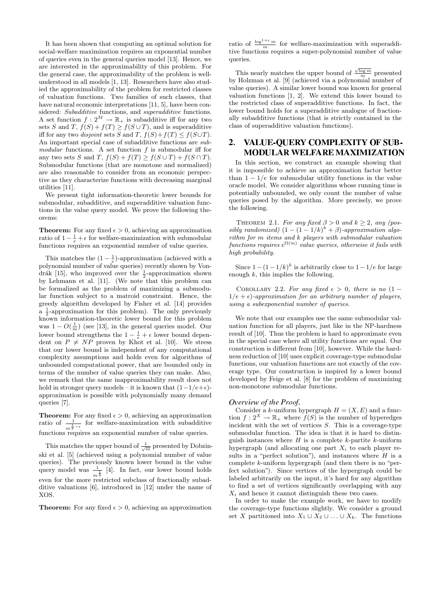It has been shown that computing an optimal solution for social-welfare maximization requires an exponential number of queries even in the general queries model [13]. Hence, we are interested in the approximability of this problem. For the general case, the approximability of the problem is wellunderstood in all models [1, 13]. Researchers have also studied the approximability of the problem for restricted classes of valuation functions. Two families of such classes, that have natural economic interpretations [11, 5], have been considered: Subadditive functions, and superadditive functions. A set function  $f: 2^M \to \mathbb{R}_+$  is subadditive iff for any two sets S and T,  $f(S) + f(T) \geq f(S \cup T)$ , and is superadditive iff for any two *disjoint* sets S and T,  $f(S) + f(T) \leq f(S \cup T)$ . An important special case of subadditive functions are submodular functions. A set function f is submodular iff for any two sets S and T,  $f(S) + f(T) \ge f(S \cup T) + f(S \cap T)$ . Submodular functions (that are monotone and normalized) are also reasonable to consider from an economic perspective as they characterize functions with decreasing marginal utilities [11].

We present tight information-theoretic lower bounds for submodular, subadditive, and superadditive valuation functions in the value query model. We prove the following theorems:

**Theorem:** For any fixed  $\epsilon > 0$ , achieving an approximation ratio of  $1 - \frac{1}{e} + \epsilon$  for welfare-maximization with submodular functions requires an exponential number of value queries.

This matches the  $(1 - \frac{1}{e})$ -approximation (achieved with a polynomial number of value queries) recently shown by Vondrák [15], who improved over the  $\frac{1}{2}$ -approximation shown by Lehmann et al. [11]. (We note that this problem can be formalized as the problem of maximizing a submodular function subject to a matroid constraint. Hence, the greedy algorithm developed by Fisher et al. [14] provides  $a \frac{1}{2}$ -approximation for this problem). The only previously known information-theoretic lower bound for this problem was  $1 - O(\frac{1}{m})$  (see [13], in the general queries model. Our lower bound strengthens the  $1 - \frac{1}{e} + \epsilon$  lower bound dependent on  $P \neq NP$  proven by Khot et al. [10]. We stress that our lower bound is independent of any computational complexity assumptions and holds even for algorithms of unbounded computational power, that are bounded only in terms of the number of value queries they can make. Also, we remark that the same inapproximability result does not hold in stronger query models – it is known that  $(1-1/e+\epsilon)$ approximation is possible with polynomially many demand queries [7].

**Theorem:** For any fixed  $\epsilon > 0$ , achieving an approximation ratio of  $\frac{1}{m^{\frac{1}{2}-\epsilon}}$  for welfare-maximization with subadditive functions requires an exponential number of value queries.

This matches the upper bound of  $\frac{1}{\sqrt{m}}$  presented by Dobzinski et al. [5] (achieved using a polynomial number of value queries). The previously known lower bound in the value query model was  $\frac{1}{m^{\frac{1}{4}}}$  [4]. In fact, our lower bound holds even for the more restricted subclass of fractionally subadditive valuations [6], introduced in [12] under the name of XOS.

**Theorem:** For any fixed  $\epsilon > 0$ , achieving an approximation

ratio of  $\frac{\log^{1+\epsilon} m}{m}$  for welfare-maximization with superadditive functions requires a super-polynomial number of value queries.

This nearly matches the upper bound of  $\frac{\sqrt{\log m}}{m}$  presented by Holzman et al. [9] (achieved via a polynomial number of value queries). A similar lower bound was known for general valuation functions [1, 2]. We extend this lower bound to the restricted class of superadditive functions. In fact, the lower bound holds for a superadditive analogue of fractionally subadditive functions (that is strictly contained in the class of superadditive valuation functions).

# 2. VALUE-QUERY COMPLEXITY OF SUB-MODULAR WELFARE MAXIMIZATION

In this section, we construct an example showing that it is impossible to achieve an approximation factor better than  $1 - 1/e$  for submodular utility functions in the value oracle model. We consider algorithms whose running time is potentially unbounded, we only count the number of value queries posed by the algorithm. More precisely, we prove the following.

THEOREM 2.1. For any fixed  $\beta > 0$  and  $k \geq 2$ , any (possibly randomized)  $(1 - (1 - 1/k)^k + \beta)$ -approximation algo $rithm$  for  $m$  items and  $k$  players with submodular valuation  $functions$  requires  $e^{\Omega(m)}$  value queries, otherwise it fails with high probability.

Since  $1-(1-1/k)^k$  is arbitrarily close to  $1-1/e$  for large enough  $k$ , this implies the following.

COROLLARY 2.2. For any fixed  $\epsilon > 0$ , there is no  $(1 1/e + \epsilon$ )-approximation for an arbitrary number of players, using a subexponential number of queries.

We note that our examples use the same submodular valuation function for all players, just like in the NP-hardness result of [10]. Thus the problem is hard to approximate even in the special case where all utility functions are equal. Our construction is different from [10], however. While the hardness reduction of [10] uses explicit coverage-type submodular functions, our valuation functions are not exactly of the coverage type. Our construction is inspired by a lower bound developed by Feige et al. [8] for the problem of maximizing non-monotone submodular functions.

#### Overview of the Proof.

Consider a k-uniform hypergraph  $H = (X, E)$  and a function  $f: 2^X \to \mathbb{R}_+$  where  $f(S)$  is the number of hyperedges incident with the set of vertices  $S$ . This is a coverage-type submodular function. The idea is that it is hard to distinguish instances where  $H$  is a complete k-partite k-uniform hypergraph (and allocating one part  $X_i$  to each player results in a "perfect solution"), and instances where  $H$  is a complete k-uniform hypergraph (and then there is no "perfect solution"). Since vertices of the hypergraph could be labeled arbitrarily on the input, it's hard for any algorithm to find a set of vertices significantly overlapping with any  $X_i$  and hence it cannot distinguish these two cases.

In order to make the example work, we have to modify the coverage-type functions slightly. We consider a ground set X partitioned into  $X_1 \cup X_2 \cup \ldots \cup X_k$ . The functions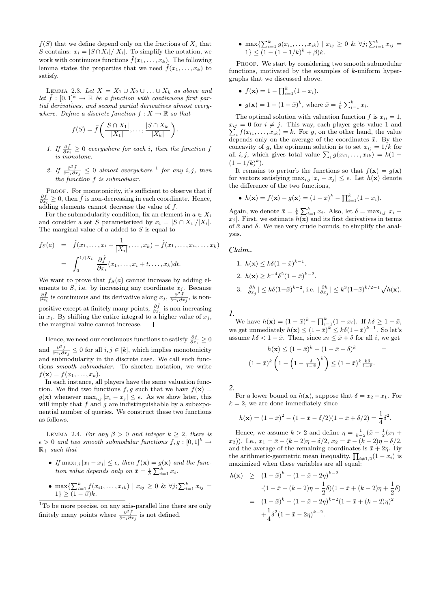$f(S)$  that we define depend only on the fractions of  $X_i$  that S contains:  $x_i = |S \cap \overline{X}_i|/|X_i|$ . To simplify the notation, we work with continuous functions  $\tilde{f}(x_1, \ldots, x_k)$ . The following lemma states the properties that we need  $\tilde{f}(x_1, \ldots, x_k)$  to satisfy.

LEMMA 2.3. Let  $X = X_1 \cup X_2 \cup \ldots \cup X_k$  as above and let  $\tilde{f} : [0,1]^k \to \mathbb{R}$  be a function with continuous first partial derivatives, and second partial derivatives almost everywhere. Define a discrete function  $f: X \to \mathbb{R}$  so that

$$
f(S) = \tilde{f}\left(\frac{|S \cap X_1|}{|X_1|}, \dots, \frac{|S \cap X_k|}{|X_k|}\right)
$$

1. If  $\frac{\partial \tilde{f}}{\partial x_i} \geq 0$  everywhere for each i, then the function f is monotone.

.

2. If  $\frac{\partial^2 \tilde{f}}{\partial x \cdot \partial x}$  $\frac{\partial^2 f}{\partial x_i \partial x_j} \leq 0$  almost everywhere <sup>1</sup> for any i, j, then the function f is submodular.

PROOF. For monotonicity, it's sufficient to observe that if  $\frac{\partial f}{\partial x_i} \geq 0$ , then  $\tilde{f}$  is non-decreasing in each coordinate. Hence, adding elements cannot decrease the value of f.

For the submodularity condition, fix an element in  $a \in X_i$ and consider a set S parameterized by  $x_i = |S \cap X_i|/|X_i|$ . The marginal value of  $a$  added to  $S$  is equal to

$$
f_S(a) = \tilde{f}(x_1, \dots, x_i + \frac{1}{|X_i|}, \dots, x_k) - \tilde{f}(x_1, \dots, x_i, \dots, x_k)
$$
  
= 
$$
\int_0^{1/|X_i|} \frac{\partial \tilde{f}}{\partial x_i}(x_1, \dots, x_i + t, \dots, x_k) dt.
$$

We want to prove that  $f_S(a)$  cannot increase by adding elements to S, i.e. by increasing any coordinate  $x_j$ . Because  $\frac{\partial \tilde{f}}{\partial \tilde{f}}$  is non- $\frac{\partial \tilde{f}}{\partial x_i}$  is continuous and its derivative along  $x_j$ ,  $\frac{\partial^2 \tilde{f}}{\partial x_i \partial x_j}$  $\frac{\partial^2 f}{\partial x_i \partial x_j}$ , is nonpositive except at finitely many points,  $\frac{\partial \tilde{f}}{\partial x_i}$  is non-increasing in  $x_j$ . By shifting the entire integral to a higher value of  $x_j$ , the marginal value cannot increase.  $\Box$ 

Hence, we need our continuous functions to satisfy  $\frac{\partial f}{\partial x_i} \geq 0$ and  $\frac{\partial^2 f}{\partial x \cdot \partial y}$  $\frac{\partial^2 f}{\partial x_i \partial x_j} \leq 0$  for all  $i, j \in [k]$ , which implies monotonicity and submodularity in the discrete case. We call such functions smooth submodular. To shorten notation, we write  $f(\mathbf{x}) = f(x_1, \ldots, x_k).$ 

In each instance, all players have the same valuation function. We find two functions f, g such that we have  $f(\mathbf{x}) =$  $g(\mathbf{x})$  whenever  $\max_{i,j} |x_i - x_j| \leq \epsilon$ . As we show later, this will imply that f and g are indistinguishable by a subexponential number of queries. We construct these two functions as follows.

LEMMA 2.4. For any  $\beta > 0$  and integer  $k \geq 2$ , there is  $\epsilon > 0$  and two smooth submodular functions  $f, g : [0,1]^k \rightarrow$  $\mathbb{R}_+$  such that

- If  $\max_{i,j} |x_i x_j| \leq \epsilon$ , then  $f(\mathbf{x}) = g(\mathbf{x})$  and the function value depends only on  $\bar{x} = \frac{1}{k} \sum_{i=1}^{k} x_i$ .
- max $\{\sum_{i=1}^{k} f(x_{i1},...,x_{ik}) \mid x_{ij} \geq 0 \& \forall j; \sum_{i=1}^{k} x_{ij} =$  $1\} \geq (1-\beta)k$ .

<sup>1</sup>To be more precise, on any axis-parallel line there are only finitely many points where  $\frac{\partial^2 \tilde{f}}{\partial x \cdot \partial y}$  $\frac{\partial^2 f}{\partial x_i \partial x_j}$  is not defined.

• max $\{\sum_{i=1}^{k} g(x_{i1},...,x_{ik}) \mid x_{ij} \geq 0 \& \forall j; \sum_{i=1}^{k} x_{ij} =$  $1\} \leq (1 - (1 - 1/k)^k + \beta)k.$ 

PROOF. We start by considering two smooth submodular functions, motivated by the examples of k-uniform hypergraphs that we discussed above.

- $f(\mathbf{x}) = 1 \prod_{i=1}^{k} (1 x_i).$
- $g(\mathbf{x}) = 1 (1 \bar{x})^k$ , where  $\bar{x} = \frac{1}{k} \sum_{i=1}^k x_i$ .

The optimal solution with valuation function f is  $x_{ii} = 1$ ,  $x_{ij} = 0$  for  $i \neq j$ . This way, each player gets value 1 and  $\sum_i f(x_{i1}, \ldots, x_{ik}) = k$ . For g, on the other hand, the value  $x_{ij} = 0$  for  $i \neq j$ . This way, each player gets value 1 and depends only on the average of the coordinates  $\bar{x}$ . By the concavity of g, the optimum solution is to set  $x_{ij} = 1/k$  for all *i*, *j*, which gives total value  $\sum_i g(x_{i1}, \ldots, x_{ik}) = k(1 (1-1/k)^k$ ).

It remains to perturb the functions so that  $f(\mathbf{x}) = g(\mathbf{x})$ for vectors satisfying  $\max_{i,j} |x_i - x_j| \leq \epsilon$ . Let  $h(\mathbf{x})$  denote the difference of the two functions,

• 
$$
h(\mathbf{x}) = f(\mathbf{x}) - g(\mathbf{x}) = (1 - \bar{x})^k - \prod_{i=1}^k (1 - x_i).
$$

Again, we denote  $\bar{x} = \frac{1}{k} \sum_{i=1}^{k} x_i$ . Also, let  $\delta = \max_{i,j} |x_i$  $x_j$ . First, we estimate  $h(\mathbf{x})$  and its first derivatives in terms of  $\bar{x}$  and  $\delta$ . We use very crude bounds, to simplify the analysis.

#### Claim..

1. 
$$
h(\mathbf{x}) \le k\delta(1-\bar{x})^{k-1}
$$
.  
\n2.  $h(\mathbf{x}) \ge k^{-4}\delta^2(1-\bar{x})^{k-2}$ .  
\n3.  $|\frac{\partial h}{\partial x_j}| \le k\delta(1-\bar{x})^{k-2}$ , i.e.  $|\frac{\partial h}{\partial x_j}| \le k^3(1-\bar{x})^{k/2-1}\sqrt{h(\mathbf{x})}$ .

1.

We have  $h(\mathbf{x}) = (1 - \bar{x})^k - \prod_{i=1}^k (1 - x_i)$ . If  $k\delta \geq 1 - \bar{x}$ , we get immediately  $h(\mathbf{x}) \leq (1-\bar{x})^k \leq k\delta(1-\bar{x})^{k-1}$ . So let's assume  $k\delta < 1 - \bar{x}$ . Then, since  $x_i \leq \bar{x} + \delta$  for all i, we get

$$
h(\mathbf{x}) \le (1 - \bar{x})^k - (1 - \bar{x} - \delta)^k =
$$

$$
(1 - \bar{x})^k \left( 1 - \left( 1 - \frac{\delta}{1 - \bar{x}} \right)^k \right) \le (1 - \bar{x})^k \frac{k \delta}{1 - \bar{x}}.
$$

2.

For a lower bound on  $h(\mathbf{x})$ , suppose that  $\delta = x_2 - x_1$ . For  $k = 2$ , we are done immediately since

$$
h(\mathbf{x}) = (1 - \bar{x})^2 - (1 - \bar{x} - \delta/2)(1 - \bar{x} + \delta/2) = \frac{1}{4}\delta^2.
$$

Hence, we assume  $k > 2$  and define  $\eta = \frac{1}{k-2}(\bar{x} - \frac{1}{2}(x_1 +$  $(x_2)$ ). I.e.,  $x_1 = \bar{x} - (k-2)\eta - \delta/2$ ,  $x_2 = \bar{x} - (k-2)\eta + \delta/2$ , and the average of the remaining coordinates is  $\bar{x} + 2\eta$ . By the arithmetic-geometric mean inequality,  $\prod_{i \neq 1,2}(1-x_i)$  is maximized when these variables are all equal:

$$
h(\mathbf{x}) \ge (1 - \bar{x})^k - (1 - \bar{x} - 2\eta)^{k-2}
$$
  
\n
$$
\cdot (1 - \bar{x} + (k - 2)\eta - \frac{1}{2}\delta)(1 - \bar{x} + (k - 2)\eta + \frac{1}{2}\delta)
$$
  
\n
$$
= (1 - \bar{x})^k - (1 - \bar{x} - 2\eta)^{k-2}(1 - \bar{x} + (k - 2)\eta)^2
$$
  
\n
$$
+ \frac{1}{4}\delta^2(1 - \bar{x} - 2\eta)^{k-2}.
$$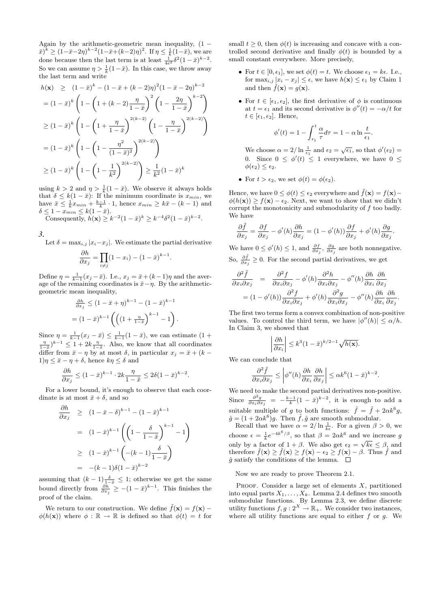Again by the arithmetic-geometric mean inequality,  $(1 (\bar{x})^k \ge (1 - \bar{x} - 2\eta)^{k-2} (1 - \bar{x} + (k-2)\eta)^2$ . If  $\eta \le \frac{1}{k} (1 - \bar{x})$ , we are done because then the last term is at least  $\frac{1}{4e^2} \delta^2 (1 - \bar{x})^{k-2}$ . So we can assume  $\eta > \frac{1}{k}(1-\bar{x})$ . In this case, we throw away the last term and write

$$
h(\mathbf{x}) \ge (1 - \bar{x})^k - (1 - \bar{x} + (k - 2)\eta)^2 (1 - \bar{x} - 2\eta)^{k-2}
$$
  
\n
$$
= (1 - \bar{x})^k \left( 1 - \left( 1 + (k - 2) \frac{\eta}{1 - \bar{x}} \right)^2 \left( 1 - \frac{2\eta}{1 - \bar{x}} \right)^{k-2} \right)
$$
  
\n
$$
\ge (1 - \bar{x})^k \left( 1 - \left( 1 + \frac{\eta}{1 - \bar{x}} \right)^{2(k-2)} \left( 1 - \frac{\eta}{1 - \bar{x}} \right)^{2(k-2)} \right)
$$
  
\n
$$
= (1 - \bar{x})^k \left( 1 - \left( 1 - \frac{\eta^2}{(1 - \bar{x})^2} \right)^{2(k-2)} \right)
$$
  
\n
$$
\ge (1 - \bar{x})^k \left( 1 - \left( 1 - \frac{1}{k^2} \right)^{2(k-2)} \right) \ge \frac{1}{k^2} (1 - \bar{x})^k
$$

using  $k > 2$  and  $\eta > \frac{1}{k}(1 - \bar{x})$ . We observe it always holds that  $\delta \leq k(1-\bar{x})$ : If the minimum coordinate is  $x_{min}$ , we have  $\bar{x} \leq \frac{1}{k}x_{min} + \frac{k-1}{k} \cdot 1$ , hence  $x_{min} \geq k\bar{x} - (k-1)$  and  $\delta \leq 1 - x_{min} \leq k(1 - \bar{x}).$ 

Consequently,  $h(\mathbf{x}) \geq k^{-2}(1-\bar{x})^k \geq k^{-4}\delta^2(1-\bar{x})^{k-2}$ .

3.

Let  $\delta = \max_{i,j} |x_i - x_j|$ . We estimate the partial derivative

$$
\frac{\partial h}{\partial x_j} = \prod_{i \neq j} (1 - x_i) - (1 - \bar{x})^{k-1}.
$$

Define  $\eta = \frac{1}{k-1}(x_j - \bar{x})$ . I.e.,  $x_j = \bar{x} + (k-1)\eta$  and the average of the remaining coordinates is  $\bar{x}-\eta.$  By the arithmeticgeometric mean inequality,

$$
\frac{\partial h}{\partial x_j} \le (1 - \bar{x} + \eta)^{k-1} - (1 - \bar{x})^{k-1}
$$

$$
= (1 - \bar{x})^{k-1} \left( \left( (1 + \frac{\eta}{1 - \bar{x}})^{k-1} - 1 \right) \right).
$$

Since  $\eta = \frac{1}{k-1}(x_j - \bar{x}) \leq \frac{1}{k-1}(1 - \bar{x})$ , we can estimate  $(1 +$  $\frac{\eta}{1-\bar{x}}$ <sup>k-1</sup>  $\leq 1+2k\frac{\eta}{1-\bar{x}}$ . Also, we know that all coordinates differ from  $\bar{x} - \eta$  by at most  $\delta$ , in particular  $x_j = \bar{x} + (k - \eta)$  $1)\eta \leq \bar{x} - \eta + \delta$ , hence  $k\eta \leq \delta$  and

$$
\frac{\partial h}{\partial x_j} \le (1 - \bar{x})^{k-1} \cdot 2k \frac{\eta}{1 - \bar{x}} \le 2\delta (1 - \bar{x})^{k-2}.
$$

For a lower bound, it's enough to observe that each coordinate is at most  $\bar{x} + \delta$ , and so

$$
\frac{\partial h}{\partial x_j} \ge (1 - \bar{x} - \delta)^{k-1} - (1 - \bar{x})^{k-1}
$$
\n
$$
= (1 - \bar{x})^{k-1} \left( \left( 1 - \frac{\delta}{1 - \bar{x}} \right)^{k-1} - 1 \right)
$$
\n
$$
\ge (1 - \bar{x})^{k-1} \left( -(k-1) \frac{\delta}{1 - \bar{x}} \right)
$$
\n
$$
= -(k-1)\delta(1 - \bar{x})^{k-2}
$$

assuming that  $(k-1)\frac{\delta}{1-\bar{x}} \leq 1$ ; otherwise we get the same bound directly from  $\frac{\partial h}{\partial x_j} \ge -(1 - \bar{x})^{k-1}$ . This finishes the proof of the claim.

We return to our construction. We define  $\tilde{f}(\mathbf{x}) = f(\mathbf{x}) - \tilde{f}(\mathbf{x})$  $\phi(h(\mathbf{x}))$  where  $\phi : \mathbb{R} \to \mathbb{R}$  is defined so that  $\phi(t) = t$  for

small  $t \geq 0$ , then  $\phi(t)$  is increasing and concave with a controlled second derivative and finally  $\phi(t)$  is bounded by a small constant everywhere. More precisely,

- For  $t \in [0, \epsilon_1]$ , we set  $\phi(t) = t$ . We choose  $\epsilon_1 = k\epsilon$ . I.e., for  $\max_{i,j} |x_i - x_j| \leq \epsilon$ , we have  $h(\mathbf{x}) \leq \epsilon_1$  by Claim 1 and then  $\tilde{f}(\mathbf{x}) = g(\mathbf{x})$ .
- For  $t \in [\epsilon_1, \epsilon_2]$ , the first derivative of  $\phi$  is continuous at  $t = \epsilon_1$  and its second derivative is  $\phi''(t) = -\alpha/t$  for  $t \in [\epsilon_1, \epsilon_2]$ . Hence,

$$
\phi'(t) = 1 - \int_{\epsilon_1}^t \frac{\alpha}{\tau} d\tau = 1 - \alpha \ln \frac{t}{\epsilon_1}.
$$

We choose  $\alpha = 2/\ln \frac{1}{\epsilon_1}$  and  $\epsilon_2 = \sqrt{\epsilon_1}$ , so that  $\phi'(\epsilon_2)$  = 0. Since  $0 \leq \phi'(t) \leq 1$  everywhere, we have  $0 \leq$  $\phi(\epsilon_2) \leq \epsilon_2.$ 

• For  $t > \epsilon_2$ , we set  $\phi(t) = \phi(\epsilon_2)$ .

Hence, we have  $0 \leq \phi(t) \leq \epsilon_2$  everywhere and  $\tilde{f}(\mathbf{x}) = f(\mathbf{x}) \phi(h(\mathbf{x})) \ge f(\mathbf{x}) - \epsilon_2$ . Next, we want to show that we didn't corrupt the monotonicity and submodularity of  $f$  too badly. We have

$$
\frac{\partial \tilde{f}}{\partial x_j} = \frac{\partial f}{\partial x_j} - \phi'(h) \frac{\partial h}{\partial x_j} = (1 - \phi'(h)) \frac{\partial f}{\partial x_j} + \phi'(h) \frac{\partial g}{\partial x_j}.
$$

We have  $0 \leq \phi'(h) \leq 1$ , and  $\frac{\partial f}{\partial x_j}$ ,  $\frac{\partial g}{\partial x_j}$  are both nonnegative. So,  $\frac{\partial \tilde{f}}{\partial x_j} \geq 0$ . For the second partial derivatives, we get

$$
\frac{\partial^2 \tilde{f}}{\partial x_i \partial x_j} = \frac{\partial^2 f}{\partial x_i \partial x_j} - \phi'(h) \frac{\partial^2 h}{\partial x_i \partial x_j} - \phi''(h) \frac{\partial h}{\partial x_i} \frac{\partial h}{\partial x_j}
$$

$$
= (1 - \phi'(h)) \frac{\partial^2 f}{\partial x_i \partial x_j} + \phi'(h) \frac{\partial^2 g}{\partial x_i \partial x_j} - \phi''(h) \frac{\partial h}{\partial x_i} \frac{\partial h}{\partial x_j}.
$$

The first two terms form a convex combination of non-positive values. To control the third term, we have  $|\phi''(h)| \leq \alpha/h$ . In Claim 3, we showed that

$$
\left|\frac{\partial h}{\partial x_i}\right| \le k^3 (1-\bar{x})^{k/2-1} \sqrt{h(\mathbf{x})}.
$$

We can conclude that

$$
\frac{\partial^2 \tilde{f}}{\partial x_i \partial x_j} \leq \left| \phi''(h) \frac{\partial h}{\partial x_i} \frac{\partial h}{\partial x_j} \right| \leq \alpha k^6 (1-\bar{x})^{k-2}.
$$

We need to make the second partial derivatives non-positive. Since  $\frac{\partial^2 g}{\partial x \cdot \partial y}$  $\frac{\partial^2 g}{\partial x_i \partial x_j} = -\frac{k-1}{k} (1 - \bar{x})^{k-2}$ , it is enough to add a suitable multiple of g to both functions:  $\hat{f} = \tilde{f} + 2\alpha k^6 g$ ,  $\hat{g} = (1 + 2\alpha k^6)g$ . Then  $\hat{f}, \hat{g}$  are smooth submodular.

Recall that we have  $\alpha = 2/\ln \frac{1}{k\epsilon}$ . For a given  $\beta > 0$ , we choose  $\epsilon = \frac{1}{k} e^{-4k^6/\beta}$ , so that  $\beta = 2\alpha k^6$  and we increase g only by a factor of  $1 + \beta$ . We also get  $\epsilon_2 = \sqrt{k\epsilon} \leq \beta$ , and therefore  $\hat{f}(\mathbf{x}) \geq \tilde{f}(\mathbf{x}) \geq f(\mathbf{x}) - \epsilon_2 \geq f(\mathbf{x}) - \beta$ . Thus  $\hat{f}$  and  $\hat{g}$  satisfy the conditions of the lemma.  $\Box$ 

Now we are ready to prove Theorem 2.1.

PROOF. Consider a large set of elements  $X$ , partitioned into equal parts  $X_1, \ldots, X_k$ . Lemma 2.4 defines two smooth submodular functions. By Lemma 2.3, we define discrete utility functions  $f, g: 2^X \to \mathbb{R}_+$ . We consider two instances, where all utility functions are equal to either  $f$  or  $g$ . We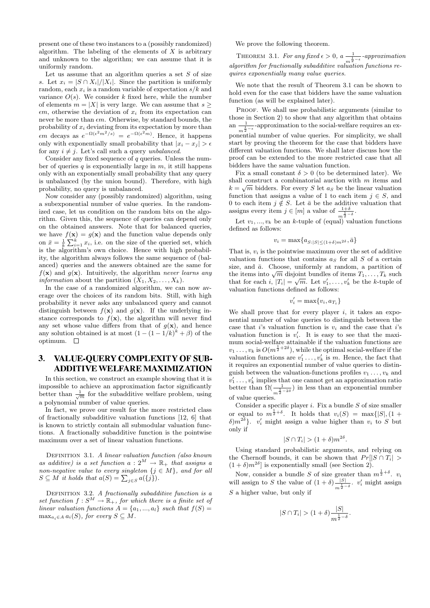present one of these two instances to a (possibly randomized) algorithm. The labeling of the elements of  $X$  is arbitrary and unknown to the algorithm; we can assume that it is uniformly random.

Let us assume that an algorithm queries a set  $S$  of size s. Let  $x_i = |S \cap X_i|/|X_i|$ . Since the partition is uniformly random, each  $x_i$  is a random variable of expectation  $s/k$  and variance  $O(s)$ . We consider k fixed here, while the number of elements  $m = |X|$  is very large. We can assume that  $s \geq$  $\epsilon m$ , otherwise the deviation of  $x_i$  from its expectation can never be more than  $\epsilon m$ . Otherwise, by standard bounds, the probability of  $x_i$  deviating from its expectation by more than  $\epsilon m$  decays as  $e^{-\Omega(\epsilon^2 m^2/\bar{s})} = e^{-\Omega(\epsilon^2 m)}$ . Hence, it happens only with exponentially small probability that  $|x_i - x_j| > \epsilon$ for any  $i \neq j$ . Let's call such a query unbalanced.

Consider any fixed sequence of  $q$  queries. Unless the number of queries q is exponentially large in  $m$ , it still happens only with an exponentially small probability that any query is unbalanced (by the union bound). Therefore, with high probability, no query is unbalanced.

Now consider any (possibly randomized) algorithm, using a subexponential number of value queries. In the randomized case, let us condition on the random bits on the algorithm. Given this, the sequence of queries can depend only on the obtained answers. Note that for balanced queries, we have  $f(\mathbf{x}) = g(\mathbf{x})$  and the function value depends only on  $\bar{x} = \frac{1}{k} \sum_{i=1}^{k} x_i$ , i.e. on the size of the queried set, which is the algorithm's own choice. Hence with high probability, the algorithm always follows the same sequence of (balanced) queries and the answers obtained are the same for  $f(\mathbf{x})$  and  $g(\mathbf{x})$ . Intuitively, the algorithm never learns any *information* about the partition  $(X_1, X_2, \ldots, X_k)$ .

In the case of a randomized algorithm, we can now average over the choices of its random bits. Still, with high probability it never asks any unbalanced query and cannot distinguish between  $f(\mathbf{x})$  and  $g(\mathbf{x})$ . If the underlying instance corresponds to  $f(\mathbf{x})$ , the algorithm will never find any set whose value differs from that of  $g(\mathbf{x})$ , and hence any solution obtained is at most  $(1 - (1 - 1/k)^k + \beta)$  of the optimum.  $\square$ 

# 3. VALUE-QUERY COMPLEXITY OF SUB-ADDITIVE WELFARE MAXIMIZATION

In this section, we construct an example showing that it is impossible to achieve an approximation factor significantly better than  $\frac{1}{\sqrt{m}}$  for the subadditive welfare problem, using a polynomial number of value queries.

In fact, we prove our result for the more restricted class of fractionally subadditive valuation functions [12, 6] that is known to strictly contain all submodular valuation functions. A fractionally subadditive function is the pointwise maximum over a set of linear valuation functions.

DEFINITION 3.1. A linear valuation function (also known as additive) is a set function  $a: 2^M \to \mathbb{R}_+$  that assigns a non-negative value to every singleton  $\{j \in M\}$ , and for all  $S \subseteq M$  it holds that  $a(S) = \sum_{j \in S} a(\{j\}).$ 

DEFINITION 3.2. A fractionally subadditive function is a set function  $f: S^M \to \mathbb{R}_+$ , for which there is a finite set of linear valuation functions  $A = \{a_1, ..., a_l\}$  such that  $f(S) =$  $\max_{a_i \in A} a_i(S)$ , for every  $S \subseteq M$ .

We prove the following theorem.

THEOREM 3.1. For any fixed  $\epsilon > 0$ ,  $a \frac{1}{m^{\frac{1}{2}-\epsilon}}$ -approximation  $algorithm$  for fractionally subadditive valuation functions requires exponentially many value queries.

We note that the result of Theorem 3.1 can be shown to hold even for the case that bidders have the same valuation function (as will be explained later).

PROOF. We shall use probabilistic arguments (similar to those in Section 2) to show that any algorithm that obtains an  $\frac{1}{m^{\frac{1}{2}-\epsilon}}$ -approximation to the social-welfare requires an exponential number of value queries. For simplicity, we shall start by proving the theorem for the case that bidders have different valuation functions. We shall later discuss how the proof can be extended to the more restricted case that all bidders have the same valuation function.

Fix a small constant  $\delta > 0$  (to be determined later). We shall construct a combinatorial auction with  $m$  items and  $k = \sqrt{m}$  bidders. For every S let  $a_S$  be the linear valuation function that assigns a value of 1 to each item  $j \in S$ , and 0 to each item  $j \notin S$ . Let  $\bar{a}$  be the additive valuation that assigns every item  $j \in [m]$  a value of  $\frac{1+\delta}{m^{\frac{1}{2}-\delta}}$ .

Let  $v_1, ..., v_k$  be an k-tuple of (equal) valuation functions defined as follows:

 $v_i = \max\{a_{S:|S| \leq (1+\delta)m^{2\delta}}, \bar{a}\}\$ 

That is,  $v_i$  is the pointwise maximum over the set of additive valuation functions that contains  $a<sub>S</sub>$  for all S of a certain size, and  $\bar{a}$ . Choose, uniformly at random, a partition of size, and a. Choose, uniformly at random, a partition of<br>the items into  $\sqrt{m}$  disjoint bundles of items  $T_1, \ldots, T_k$  such that for each i,  $|T_i| = \sqrt{m}$ . Let  $v'_1, \ldots, v'_k$  be the k-tuple of valuation functions defined as follows:

$$
v_i' = \max\{v_i, a_{T_i}\}\
$$

We shall prove that for every player  $i$ , it takes an exponential number of value queries to distinguish between the case that *i*'s valuation function is  $v_i$  and the case that *i*'s valuation function is  $v'_i$ . It is easy to see that the maximum social-welfare attainable if the valuation functions are  $v_1 \ldots, v_k$  is  $O(m^{\frac{1}{2}+2\delta})$ , while the optimal social-welfare if the valuation functions are  $v'_1 \ldots, v'_k$  is m. Hence, the fact that it requires an exponential number of value queries to distinguish between the valuation-functions profiles  $v_1 \ldots, v_k$  and  $v'_1 \ldots, v'_k$  implies that one cannot get an approximation ratio better than  $\Omega(\frac{1}{m^{\frac{1}{2}-2\delta}})$  in less than an exponential number of value queries.

Consider a specific player  $i$ . Fix a bundle  $S$  of size smaller or equal to  $m^{\frac{1}{2}+\delta}$ . It holds that  $v_i(S) = \max\{|S|, (1 +$  $\delta$ ) $m^{2\delta}$ }.  $v'_i$  might assign a value higher than  $v_i$  to S but only if

$$
|S \cap T_i| > (1 + \delta) m^{2\delta}.
$$

Using standard probabilistic arguments, and relying on the Chernoff bounds, it can be shown that  $Pr[|S \cap T_i|]$  $(1+\delta)m^{2\delta}$  is exponentially small (see Section 2).

Now, consider a bundle S of size greater than  $m^{\frac{1}{2}+\delta}$ .  $v_i$ will assign to S the value of  $(1 + \delta) \frac{|S|}{1}$  $\frac{|S|}{m^{\frac{1}{2}-\delta}}$ .  $v'_i$  might assign  $S$  a higher value, but only if

$$
|S \cap T_i| > (1+\delta) \frac{|S|}{m^{\frac{1}{2}-\delta}}.
$$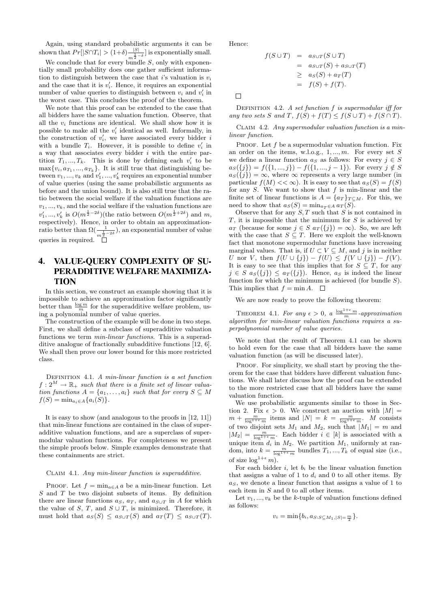Again, using standard probabilistic arguments it can be shown that  $Pr[|S \cap T_i| > (1+\delta) - \frac{|S|}{1}]$  $\frac{|S|}{m^{\frac{1}{2}-\delta}}$  is exponentially small.

We conclude that for every bundle  $S$ , only with exponentially small probability does one gather sufficient information to distinguish between the case that i's valuation is  $v_i$ and the case that it is  $v_i'$ . Hence, it requires an exponential number of value queries to distinguish between  $v_i$  and  $v'_i$  in the worst case. This concludes the proof of the theorem.

We note that this proof can be extended to the case that all bidders have the same valuation function. Observe, that all the  $v_i$  functions are identical. We shall show how it is possible to make all the  $v_i'$  identical as well. Informally, in the construction of  $v'_i$ , we have associated every bidder i with a bundle  $T_i$ . However, it is possible to define  $v'_i$  in a way that associates every bidder i with the entire partition  $T_1, ..., T_k$ . This is done by defining each  $v'_i$  to be  $\max\{v_i, a_{T_1}, ..., a_{T_k}\}.$  It is still true that distinguishing between  $v_1, ..., v_k$  and  $v'_1, ..., v'_k$  requires an exponential number of value queries (using the same probabilistic arguments as before and the union bound). It is also still true that the ratio between the social welfare if the valuation functions are  $v_1, \ldots, v_k$ , and the social welfare if the valuation functions are  $v'_1, ..., v'_k$  is  $O(m^{\frac{1}{2}-2\delta})$ (the ratio between  $O(m^{\frac{1}{2}+2\delta})$  and m, respectively). Hence, in order to obtain an approximationratio better than  $\Omega(\frac{1}{m^{\frac{1}{2}-2\delta}})$ , an exponential number of value queries in required.

# 4. VALUE-QUERY COMPLEXITY OF SU-PERADDITIVE WELFARE MAXIMIZA-**TION**

In this section, we construct an example showing that it is impossible to achieve an approximation factor significantly better than  $\frac{\log m}{m}$  for the superadditive welfare problem, using a polynomial number of value queries.

The construction of the example will be done in two steps. First, we shall define a subclass of superadditive valuation functions we term min-linear functions. This is a superadditive analogue of fractionally subadditive functions [12, 6]. We shall then prove our lower bound for this more restricted class.

DEFINITION 4.1. A min-linear function is a set function  $f: 2^M \to \mathbb{R}_+$  such that there is a finite set of linear valuation functions  $A = \{a_1, \ldots, a_l\}$  such that for every  $S \subseteq M$  $f(S) = \min_{a_i \in A} \{a_i(S)\}.$ 

It is easy to show (and analogous to the proofs in [12, 11]) that min-linear functions are contained in the class of superadditive valuation functions, and are a superclass of supermodular valuation functions. For completeness we present the simple proofs below. Simple examples demonstrate that these containments are strict.

#### Claim 4.1. Any min-linear function is superadditive.

PROOF. Let  $f = \min_{a \in A} a$  be a min-linear function. Let  $S$  and  $T$  be two disjoint subsets of items. By definition there are linear functions  $a_S$ ,  $a_T$ , and  $a_{S\cup T}$  in A for which the value of S, T, and  $S \cup T$ , is minimized. Therefore, it must hold that  $a_S(S) \le a_{S \cup T}(S)$  and  $a_T(T) \le a_{S \cup T}(T)$ . Hence:

$$
f(S \cup T) = a_{S \cup T}(S \cup T)
$$
  
=  $a_{S \cup T}(S) + a_{S \cup T}(T)$   
 $\geq a_S(S) + a_T(T)$   
=  $f(S) + f(T)$ .

 $\Box$ 

DEFINITION 4.2. A set function  $f$  is supermodular iff for any two sets S and T,  $f(S) + f(T) \leq f(S \cup T) + f(S \cap T)$ .

CLAIM 4.2. Any supermodular valuation function is a minlinear function.

PROOF. Let  $f$  be a supermodular valuation function. Fix an order on the items, w.l.o.g.,  $1, ..., m$ . For every set  $S$ we define a linear function  $a_S$  as follows: For every  $j \in S$  $a_S({j}) = f({1, ..., j}) - f({1, ..., j-1})$ . For every  $j \notin S$  $a_S({j}) = \infty$ , where  $\infty$  represents a very large number (in particular  $f(M) \ll \infty$ ). It is easy to see that  $a_S(S) = f(S)$ for any  $S$ . We want to show that  $f$  is min-linear and the finite set of linear functions is  $A = \{a_T\}_{T \subset M}$ . For this, we need to show that  $a_S(S) = \min_{a_T \in A} a_T(S)$ .

Observe that for any  $S, T$  such that  $S$  is not contained in  $T$ , it is impossible that the minimum for  $S$  is achieved by  $a_T$  (because for some  $j \in S$   $a_T(\{j\}) = \infty$ ). So, we are left with the case that  $S \subseteq T$ . Here we exploit the well-known fact that monotone supermodular functions have increasing marginal values. That is, if  $U \subset V \subset M$ , and j is in neither U nor V, then  $f(U \cup \{j\}) - f(U) \leq f(V \cup \{j\}) - f(V)$ . It is easy to see that this implies that for  $S \subseteq T$ , for any  $j \in S$   $as(\{j\}) \leq a_T(\{j\})$ . Hence,  $a_S$  is indeed the linear function for which the minimum is achieved (for bundle  $S$ ). This implies that  $f = \min A$ .  $\Box$ 

We are now ready to prove the following theorem:

THEOREM 4.1. For any  $\epsilon > 0$ , a  $\frac{\log^{1+\epsilon} m}{m}$ -approximation algorithm for min-linear valuation functions requires a superpolynomial number of value queries.

We note that the result of Theorem 4.1 can be shown to hold even for the case that all bidders have the same valuation function (as will be discussed later).

PROOF. For simplicity, we shall start by proving the theorem for the case that bidders have different valuation functions. We shall later discuss how the proof can be extended to the more restricted case that all bidders have the same valuation function.

We use probabilistic arguments similar to those in Section 2. Fix  $\epsilon > 0$ . We construct an auction with  $|M| =$  $m + \frac{m}{\log^{1+\epsilon} m}$  items and  $|N| = k = \frac{m}{\log^{1+\epsilon} m}$ . M consists of two disjoint sets  $M_1$  and  $M_2$ , such that  $|M_1| = m$  and  $|M_2| = \frac{m}{\log^{1+\epsilon} m}$ . Each bidder  $i \in [k]$  is associated with a unique item  $d_i$  in  $M_2$ . We partition  $M_1$ , uniformly at random, into  $k = \frac{m}{\log^{1+\epsilon} m}$  bundles  $T_1, ..., T_k$  of equal size (i.e., of size  $\log^{1+\epsilon} m$ ).

For each bidder  $i$ , let  $b_i$  be the linear valuation function that assigns a value of 1 to  $d_i$  and 0 to all other items. By  $a<sub>S</sub>$ , we denote a linear function that assigns a value of 1 to each item in S and 0 to all other items.

Let  $v_1, ..., v_k$  be the k-tuple of valuation functions defined as follows:

$$
v_i = \min\{b_i, a_{S:S \subseteq M_1, |S| = \frac{m}{2}}\}.
$$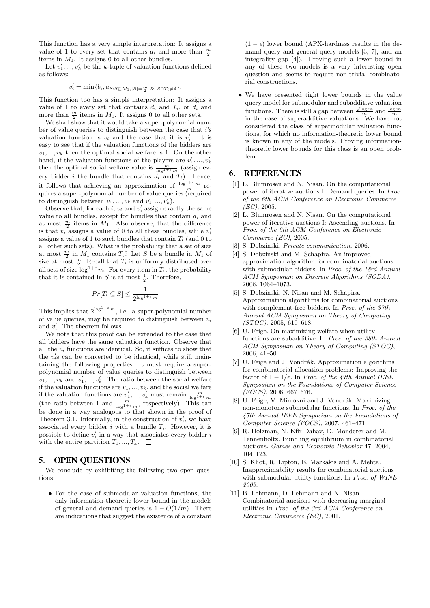This function has a very simple interpretation: It assigns a value of 1 to every set that contains  $d_i$  and more than  $\frac{m}{2}$ items in  $M_1$ . It assigns 0 to all other bundles.

Let  $v'_1, ..., v'_k$  be the k-tuple of valuation functions defined as follows:

$$
v'_{i} = \min\{b_{i}, a_{S:S \subseteq M_{1}, |S| = \frac{m}{2}} \& s \cap T_{i} \neq \emptyset\}.
$$

This function too has a simple interpretation: It assigns a value of 1 to every set that contains  $d_i$  and  $T_i$ , or  $d_i$  and more than  $\frac{m}{2}$  items in  $M_1$ . It assigns 0 to all other sets.

We shall show that it would take a super-polynomial number of value queries to distinguish between the case that  $i$ 's valuation function is  $v_i$  and the case that it is  $v'_i$ . It is easy to see that if the valuation functions of the bidders are  $v_1, ..., v_k$  then the optimal social welfare is 1. On the other hand, if the valuation functions of the players are  $v'_1, \ldots, v'_k$ then the optimal social welfare value is  $\frac{m}{\log^{1+\epsilon} m}$  (assign every bidder i the bundle that contains  $d_i$  and  $T_i$ ). Hence, it follows that achieving an approximation of  $\frac{\log^{1+\epsilon} m}{m}$  requires a super-polynomial number of value queries (required to distinguish between  $v_1, ..., v_k$  and  $v'_1, ..., v'_k$ .

Observe that, for each  $i, v_i$  and  $v'_i$  assign exactly the same value to all bundles, except for bundles that contain  $d_i$  and at most  $\frac{m}{2}$  items in  $M_1$ . Also observe, that the difference is that  $v_i$  assigns a value of 0 to all these bundles, while  $v_i'$ assigns a value of 1 to such bundles that contain  $T_i$  (and 0 to all other such sets). What is the probability that a set of size at most  $\frac{m}{2}$  in  $M_1$  contains  $T_i$ ? Let S be a bundle in  $M_1$  of size at most  $\frac{m}{2}$ . Recall that  $T_i$  is uniformly distributed over all sets of size  $\log^{1+\epsilon} m$ . For every item in  $T_i$ , the probability that it is contained in S is at most  $\frac{1}{2}$ . Therefore,

$$
Pr[T_i \subseteq S] \leq \frac{1}{2^{\log^{1+\epsilon} m}}
$$

This implies that  $2^{\log^{1+\epsilon} m}$ , i.e., a super-polynomial number of value queries, may be required to distinguish between  $v_i$ and  $v'_i$ . The theorem follows.

We note that this proof can be extended to the case that all bidders have the same valuation function. Observe that all the  $v_i$  functions are identical. So, it suffices to show that the  $v_i$ 's can be converted to be identical, while still maintaining the following properties: It must require a superpolynomial number of value queries to distinguish between  $v_1, \ldots, v_k$  and  $v'_1, \ldots, v'_k$ . The ratio between the social welfare if the valuation functions are  $v_1, ..., v_k$ , and the social welfare if the valuation functions are  $v'_1, ..., v'_k$  must remain  $\frac{m}{\log 1 + \epsilon}$ (the ratio between 1 and  $\frac{m}{\log^{1+\epsilon} m}$ , respectively). This can be done in a way analogous to that shown in the proof of Theorem 3.1. Informally, in the construction of  $v_i'$ , we have associated every bidder i with a bundle  $T_i$ . However, it is possible to define  $v_i'$  in a way that associates every bidder i with the entire partition  $T_1, ..., T_k$ .  $\Box$ 

## 5. OPEN QUESTIONS

We conclude by exhibiting the following two open questions:

• For the case of submodular valuation functions, the only information-theoretic lower bound in the models of general and demand queries is  $1 - O(1/m)$ . There are indications that suggest the existence of a constant  $(1 - \epsilon)$  lower bound (APX-hardness results in the demand query and general query models [3, 7], and an integrality gap [4]). Proving such a lower bound in any of these two models is a very interesting open question and seems to require non-trivial combinatorial constructions.

• We have presented tight lower bounds in the value query model for submodular and subadditive valuation functions. There is still a gap between  $\frac{\sqrt{\log m}}{m}$  and  $\frac{\log m}{m}$ in the case of superadditive valuations. We have not considered the class of supermodular valuation functions, for which no information-theoretic lower bound is known in any of the models. Proving informationtheoretic lower bounds for this class is an open problem.

### 6. REFERENCES

- [1] L. Blumrosen and N. Nisan. On the computational power of iterative auctions I: Demand queries. In Proc. of the 6th ACM Conference on Electronic Commerce  $(EC)$ , 2005.
- [2] L. Blumrosen and N. Nisan. On the computational power of iterative auctions I: Ascending auctions. In Proc. of the 6th ACM Conference on Electronic Commerce (EC), 2005.
- [3] S. Dobzinski. Private communication, 2006.
- [4] S. Dobzinski and M. Schapira. An improved approximation algorithm for combinatorial auctions with submodular bidders. In Proc. of the 18rd Annual ACM Symposium on Discrete Algorithms (SODA), 2006, 1064–1073.
- [5] S. Dobzinski, N. Nisan and M. Schapira. Approximation algorithms for combinatorial auctions with complement-free bidders. In Proc. of the 37th Annual ACM Symposium on Theory of Computing (STOC), 2005, 610–618.
- [6] U. Feige. On maximizing welfare when utility functions are subadditive. In Proc. of the 38th Annual ACM Symposium on Theory of Computing (STOC), 2006, 41–50.
- [7] U. Feige and J. Vondrák. Approximation algorithms for combinatorial allocation problems: Improving the factor of  $1 - 1/e$ . In Proc. of the 47th Annual IEEE Symposium on the Foundations of Computer Science (FOCS), 2006, 667–676.
- [8] U. Feige, V. Mirrokni and J. Vondrák. Maximizing non-monotone submodular functions. In Proc. of the 47th Annual IEEE Symposium on the Foundations of Computer Science (FOCS), 2007, 461–471.
- [9] R. Holzman, N. Kfir-Dahav, D. Monderer and M. Tennenholtz. Bundling equilibrium in combinatorial auctions. Games and Economic Behavior 47, 2004, 104–123.
- [10] S. Khot, R. Lipton, E. Markakis and A. Mehta. Inapproximability results for combinatorial auctions with submodular utility functions. In Proc. of WINE 2005.
- [11] B. Lehmann, D. Lehmann and N. Nisan. Combinatorial auctions with decreasing marginal utilities In Proc. of the 3rd ACM Conference on Electronic Commerce (EC), 2001.